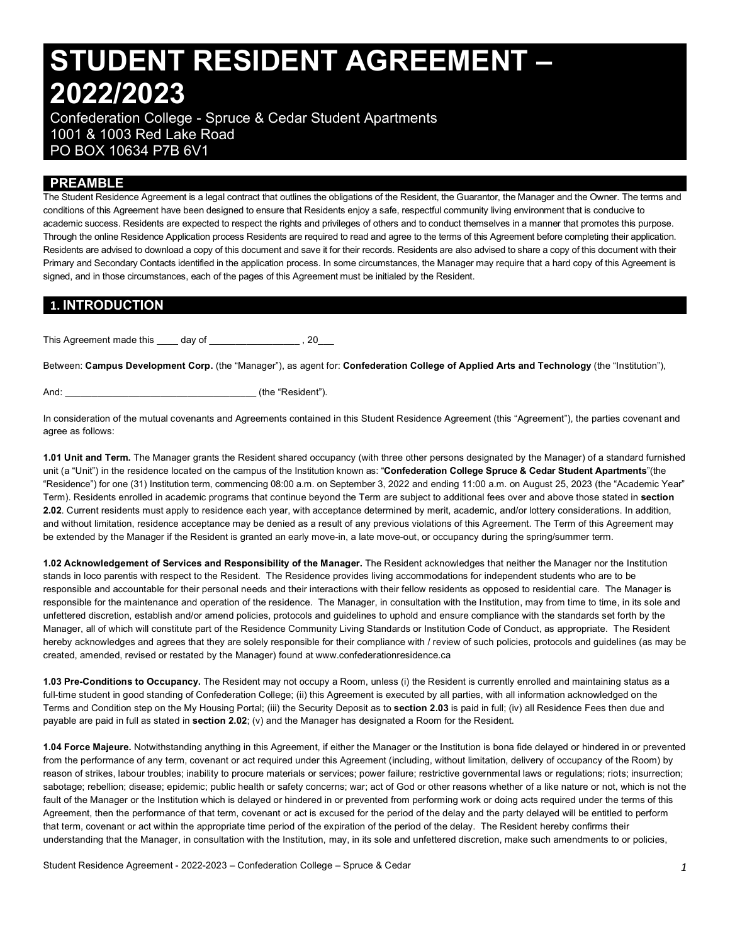# **STUDENT RESIDENT AGREEMENT – 2022/2023**

 Confederation College - Spruce & Cedar Student Apartments 1001 & 1003 Red Lake Road PO BOX 10634 P7B 6V1

# **PREAMBLE**

 The Student Residence Agreement is a legal contract that outlines the obligations of the Resident, the Guarantor, the Manager and the Owner. The terms and conditions of this Agreement have been designed to ensure that Residents enjoy a safe, respectful community living environment that is conducive to academic success. Residents are expected to respect the rights and privileges of others and to conduct themselves in a manner that promotes this purpose. Through the online Residence Application process Residents are required to read and agree to the terms of this Agreement before completing their application. Residents are advised to download a copy of this document and save it for their records. Residents are also advised to share a copy of this document with their Primary and Secondary Contacts identified in the application process. In some circumstances, the Manager may require that a hard copy of this Agreement is signed, and in those circumstances, each of the pages of this Agreement must be initialed by the Resident.

# **1. INTRODUCTION**

This Agreement made this day of example and the set of the set of the set of the set of the set of the set of the set of the set of the set of the set of the set of the set of the set of the set of the set of the set of th

Between: **Campus Development Corp.** (the "Manager"), as agent for: **Confederation College of Applied Arts and Technology** (the "Institution"),

And:  $\qquad \qquad$  (the "Resident").

 In consideration of the mutual covenants and Agreements contained in this Student Residence Agreement (this "Agreement"), the parties covenant and agree as follows:

 **1.01 Unit and Term.** The Manager grants the Resident shared occupancy (with three other persons designated by the Manager) of a standard furnished unit (a "Unit") in the residence located on the campus of the Institution known as: "**Confederation College Spruce & Cedar Student Apartments**"(the "Residence") for one (31) Institution term, commencing 08:00 a.m. on September 3, 2022 and ending 11:00 a.m. on August 25, 2023 (the "Academic Year" Term). Residents enrolled in academic programs that continue beyond the Term are subject to additional fees over and above those stated in **section 2.02**. Current residents must apply to residence each year, with acceptance determined by merit, academic, and/or lottery considerations. In addition, and without limitation, residence acceptance may be denied as a result of any previous violations of this Agreement. The Term of this Agreement may be extended by the Manager if the Resident is granted an early move-in, a late move-out, or occupancy during the spring/summer term.

 **1.02 Acknowledgement of Services and Responsibility of the Manager.** The Resident acknowledges that neither the Manager nor the Institution stands in loco parentis with respect to the Resident. The Residence provides living accommodations for independent students who are to be responsible and accountable for their personal needs and their interactions with their fellow residents as opposed to residential care. The Manager is responsible for the maintenance and operation of the residence. The Manager, in consultation with the Institution, may from time to time, in its sole and unfettered discretion, establish and/or amend policies, protocols and guidelines to uphold and ensure compliance with the standards set forth by the Manager, all of which will constitute part of the Residence Community Living Standards or Institution Code of Conduct, as appropriate. The Resident hereby acknowledges and agrees that they are solely responsible for their compliance with / review of such policies, protocols and guidelines (as may be created, amended, revised or restated by the Manager) found at<www.confederationresidence.ca>

 **1.03 Pre-Conditions to Occupancy.** The Resident may not occupy a Room, unless (i) the Resident is currently enrolled and maintaining status as a full-time student in good standing of Confederation College; (ii) this Agreement is executed by all parties, with all information acknowledged on the Terms and Condition step on the My Housing Portal; (iii) the Security Deposit as to **section 2.03** is paid in full; (iv) all Residence Fees then due and payable are paid in full as stated in **section 2.02**; (v) and the Manager has designated a Room for the Resident.

 **1.04 Force Majeure.** Notwithstanding anything in this Agreement, if either the Manager or the Institution is bona fide delayed or hindered in or prevented from the performance of any term, covenant or act required under this Agreement (including, without limitation, delivery of occupancy of the Room) by reason of strikes, labour troubles; inability to procure materials or services; power failure; restrictive governmental laws or regulations; riots; insurrection; sabotage; rebellion; disease; epidemic; public health or safety concerns; war; act of God or other reasons whether of a like nature or not, which is not the fault of the Manager or the Institution which is delayed or hindered in or prevented from performing work or doing acts required under the terms of this Agreement, then the performance of that term, covenant or act is excused for the period of the delay and the party delayed will be entitled to perform that term, covenant or act within the appropriate time period of the expiration of the period of the delay. The Resident hereby confirms their understanding that the Manager, in consultation with the Institution, may, in its sole and unfettered discretion, make such amendments to or policies,

Student Residence Agreement - 2022-2023 – Confederation College – Spruce & Cedar *1*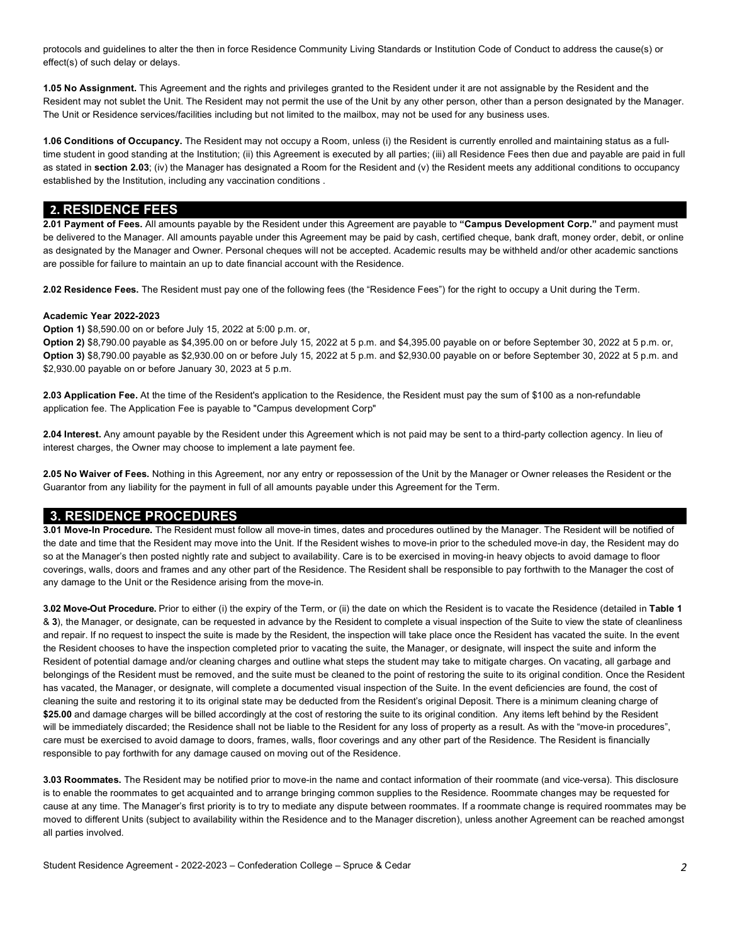protocols and guidelines to alter the then in force Residence Community Living Standards or Institution Code of Conduct to address the cause(s) or effect(s) of such delay or delays.

 **1.05 No Assignment.** This Agreement and the rights and privileges granted to the Resident under it are not assignable by the Resident and the Resident may not sublet the Unit. The Resident may not permit the use of the Unit by any other person, other than a person designated by the Manager. The Unit or Residence services/facilities including but not limited to the mailbox, may not be used for any business uses.

 **1.06 Conditions of Occupancy.** The Resident may not occupy a Room, unless (i) the Resident is currently enrolled and maintaining status as a full- time student in good standing at the Institution; (ii) this Agreement is executed by all parties; (iii) all Residence Fees then due and payable are paid in full as stated in **section 2.03**; (iv) the Manager has designated a Room for the Resident and (v) the Resident meets any additional conditions to occupancy established by the Institution, including any vaccination conditions .

#### **2. RESIDENCE FEES**

 **2.01 Payment of Fees.** All amounts payable by the Resident under this Agreement are payable to **"Campus Development Corp."** and payment must be delivered to the Manager. All amounts payable under this Agreement may be paid by cash, certified cheque, bank draft, money order, debit, or online as designated by the Manager and Owner. Personal cheques will not be accepted. Academic results may be withheld and/or other academic sanctions are possible for failure to maintain an up to date financial account with the Residence.

**2.02 Residence Fees.** The Resident must pay one of the following fees (the "Residence Fees") for the right to occupy a Unit during the Term.

#### **Academic Year 2022-2023**

**Option 1)** \$[8,590.00](https://8,590.00) on or before July 15, 2022 at 5:00 p.m. or,

 **Option 2)** \$[8,790.00](https://8,790.00) payable as \$[4,395.00](https://4,395.00) on or before July 15, 2022 at 5 p.m. and \$[4,395.00](https://4,395.00) payable on or before September 30, 2022 at 5 p.m. or,  **Option 3)** \$[8,790.00](https://8,790.00) payable as \$[2,930.00](https://2,930.00) on or before July 15, 2022 at 5 p.m. and \$[2,930.00](https://2,930.00) payable on or before September 30, 2022 at 5 p.m. and \$[2,930.00](https://2,930.00) payable on or before January 30, 2023 at 5 p.m.

 **2.03 Application Fee.** At the time of the Resident's application to the Residence, the Resident must pay the sum of \$100 as a non-refundable application fee. The Application Fee is payable to "Campus development Corp"

 **2.04 Interest.** Any amount payable by the Resident under this Agreement which is not paid may be sent to a third-party collection agency. In lieu of interest charges, the Owner may choose to implement a late payment fee.

 **2.05 No Waiver of Fees.** Nothing in this Agreement, nor any entry or repossession of the Unit by the Manager or Owner releases the Resident or the Guarantor from any liability for the payment in full of all amounts payable under this Agreement for the Term.

#### **3. RESIDENCE PROCEDURES**

 **3.01 Move-In Procedure.** The Resident must follow all move-in times, dates and procedures outlined by the Manager. The Resident will be notified of the date and time that the Resident may move into the Unit. If the Resident wishes to move-in prior to the scheduled move-in day, the Resident may do so at the Manager's then posted nightly rate and subject to availability. Care is to be exercised in moving-in heavy objects to avoid damage to floor coverings, walls, doors and frames and any other part of the Residence. The Resident shall be responsible to pay forthwith to the Manager the cost of any damage to the Unit or the Residence arising from the move-in.

 **3.02 Move-Out Procedure.** Prior to either (i) the expiry of the Term, or (ii) the date on which the Resident is to vacate the Residence (detailed in **Table 1**  & **3**), the Manager, or designate, can be requested in advance by the Resident to complete a visual inspection of the Suite to view the state of cleanliness and repair. If no request to inspect the suite is made by the Resident, the inspection will take place once the Resident has vacated the suite. In the event the Resident chooses to have the inspection completed prior to vacating the suite, the Manager, or designate, will inspect the suite and inform the Resident of potential damage and/or cleaning charges and outline what steps the student may take to mitigate charges. On vacating, all garbage and belongings of the Resident must be removed, and the suite must be cleaned to the point of restoring the suite to its original condition. Once the Resident has vacated, the Manager, or designate, will complete a documented visual inspection of the Suite. In the event deficiencies are found, the cost of cleaning the suite and restoring it to its original state may be deducted from the Resident's original Deposit. There is a minimum cleaning charge of \$25.00 and damage charges will be billed accordingly at the cost of restoring the suite to its original condition. Any items left behind by the Resident will be immediately discarded; the Residence shall not be liable to the Resident for any loss of property as a result. As with the "move-in procedures", care must be exercised to avoid damage to doors, frames, walls, floor coverings and any other part of the Residence. The Resident is financially responsible to pay forthwith for any damage caused on moving out of the Residence.

 **3.03 Roommates.** The Resident may be notified prior to move-in the name and contact information of their roommate (and vice-versa). This disclosure is to enable the roommates to get acquainted and to arrange bringing common supplies to the Residence. Roommate changes may be requested for cause at any time. The Manager's first priority is to try to mediate any dispute between roommates. If a roommate change is required roommates may be moved to different Units (subject to availability within the Residence and to the Manager discretion), unless another Agreement can be reached amongst all parties involved.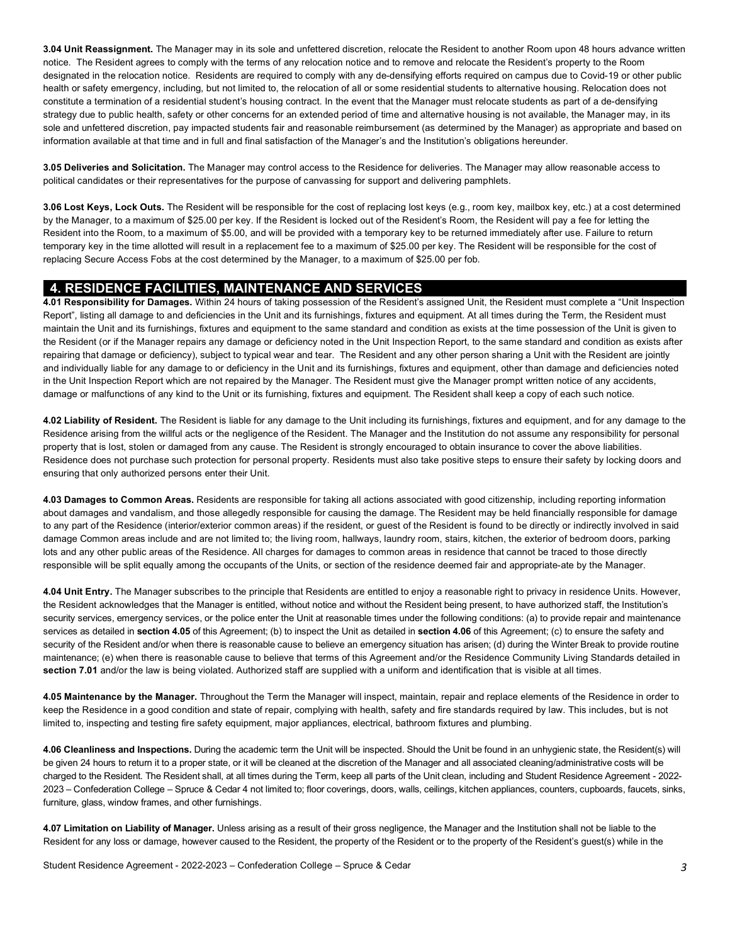**3.04 Unit Reassignment.** The Manager may in its sole and unfettered discretion, relocate the Resident to another Room upon 48 hours advance written notice. The Resident agrees to comply with the terms of any relocation notice and to remove and relocate the Resident's property to the Room designated in the relocation notice. Residents are required to comply with any de-densifying efforts required on campus due to Covid-19 or other public health or safety emergency, including, but not limited to, the relocation of all or some residential students to alternative housing. Relocation does not constitute a termination of a residential student's housing contract. In the event that the Manager must relocate students as part of a de-densifying strategy due to public health, safety or other concerns for an extended period of time and alternative housing is not available, the Manager may, in its sole and unfettered discretion, pay impacted students fair and reasonable reimbursement (as determined by the Manager) as appropriate and based on information available at that time and in full and final satisfaction of the Manager's and the Institution's obligations hereunder.

 **3.05 Deliveries and Solicitation.** The Manager may control access to the Residence for deliveries. The Manager may allow reasonable access to political candidates or their representatives for the purpose of canvassing for support and delivering pamphlets.

 **3.06 Lost Keys, Lock Outs.** The Resident will be responsible for the cost of replacing lost keys (e.g., room key, mailbox key, etc.) at a cost determined by the Manager, to a maximum of \$25.00 per key. If the Resident is locked out of the Resident's Room, the Resident will pay a fee for letting the Resident into the Room, to a maximum of \$5.00, and will be provided with a temporary key to be returned immediately after use. Failure to return temporary key in the time allotted will result in a replacement fee to a maximum of \$25.00 per key. The Resident will be responsible for the cost of replacing Secure Access Fobs at the cost determined by the Manager, to a maximum of \$25.00 per fob.

# **4. RESIDENCE FACILITIES, MAINTENANCE AND SERVICES**

 Report", listing all damage to and deficiencies in the Unit and its furnishings, fixtures and equipment. At all times during the Term, the Resident must maintain the Unit and its furnishings, fixtures and equipment to the same standard and condition as exists at the time possession of the Unit is given to the Resident (or if the Manager repairs any damage or deficiency noted in the Unit Inspection Report, to the same standard and condition as exists after repairing that damage or deficiency), subject to typical wear and tear. The Resident and any other person sharing a Unit with the Resident are jointly and individually liable for any damage to or deficiency in the Unit and its furnishings, fixtures and equipment, other than damage and deficiencies noted in the Unit Inspection Report which are not repaired by the Manager. The Resident must give the Manager prompt written notice of any accidents, damage or malfunctions of any kind to the Unit or its furnishing, fixtures and equipment. The Resident shall keep a copy of each such notice. **4.01 Responsibility for Damages.** Within 24 hours of taking possession of the Resident's assigned Unit, the Resident must complete a "Unit Inspection

 **4.02 Liability of Resident.** The Resident is liable for any damage to the Unit including its furnishings, fixtures and equipment, and for any damage to the Residence arising from the willful acts or the negligence of the Resident. The Manager and the Institution do not assume any responsibility for personal property that is lost, stolen or damaged from any cause. The Resident is strongly encouraged to obtain insurance to cover the above liabilities. Residence does not purchase such protection for personal property. Residents must also take positive steps to ensure their safety by locking doors and ensuring that only authorized persons enter their Unit.

 **4.03 Damages to Common Areas.** Residents are responsible for taking all actions associated with good citizenship, including reporting information about damages and vandalism, and those allegedly responsible for causing the damage. The Resident may be held financially responsible for damage to any part of the Residence (interior/exterior common areas) if the resident, or guest of the Resident is found to be directly or indirectly involved in said damage Common areas include and are not limited to; the living room, hallways, laundry room, stairs, kitchen, the exterior of bedroom doors, parking lots and any other public areas of the Residence. All charges for damages to common areas in residence that cannot be traced to those directly responsible will be split equally among the occupants of the Units, or section of the residence deemed fair and appropriate-ate by the Manager.

 **4.04 Unit Entry.** The Manager subscribes to the principle that Residents are entitled to enjoy a reasonable right to privacy in residence Units. However, the Resident acknowledges that the Manager is entitled, without notice and without the Resident being present, to have authorized staff, the Institution's security services, emergency services, or the police enter the Unit at reasonable times under the following conditions: (a) to provide repair and maintenance services as detailed in **section 4.05** of this Agreement; (b) to inspect the Unit as detailed in **section 4.06** of this Agreement; (c) to ensure the safety and security of the Resident and/or when there is reasonable cause to believe an emergency situation has arisen; (d) during the Winter Break to provide routine section 7.01 and/or the law is being violated. Authorized staff are supplied with a uniform and identification that is visible at all times. maintenance; (e) when there is reasonable cause to believe that terms of this Agreement and/or the Residence Community Living Standards detailed in

 **4.05 Maintenance by the Manager.** Throughout the Term the Manager will inspect, maintain, repair and replace elements of the Residence in order to keep the Residence in a good condition and state of repair, complying with health, safety and fire standards required by law. This includes, but is not limited to, inspecting and testing fire safety equipment, major appliances, electrical, bathroom fixtures and plumbing.

 **4.06 Cleanliness and Inspections.** During the academic term the Unit will be inspected. Should the Unit be found in an unhygienic state, the Resident(s) will be given 24 hours to return it to a proper state, or it will be cleaned at the discretion of the Manager and all associated cleaning/administrative costs will be charged to the Resident. The Resident shall, at all times during the Term, keep all parts of the Unit clean, including and Student Residence Agreement - 2022- 2023 – Confederation College – Spruce & Cedar 4 not limited to; floor coverings, doors, walls, ceilings, kitchen appliances, counters, cupboards, faucets, sinks, furniture, glass, window frames, and other furnishings.

 **4.07 Limitation on Liability of Manager.** Unless arising as a result of their gross negligence, the Manager and the Institution shall not be liable to the Resident for any loss or damage, however caused to the Resident, the property of the Resident or to the property of the Resident's guest(s) while in the

Student Residence Agreement - 2022-2023 – Confederation College – Spruce & Cedar *3*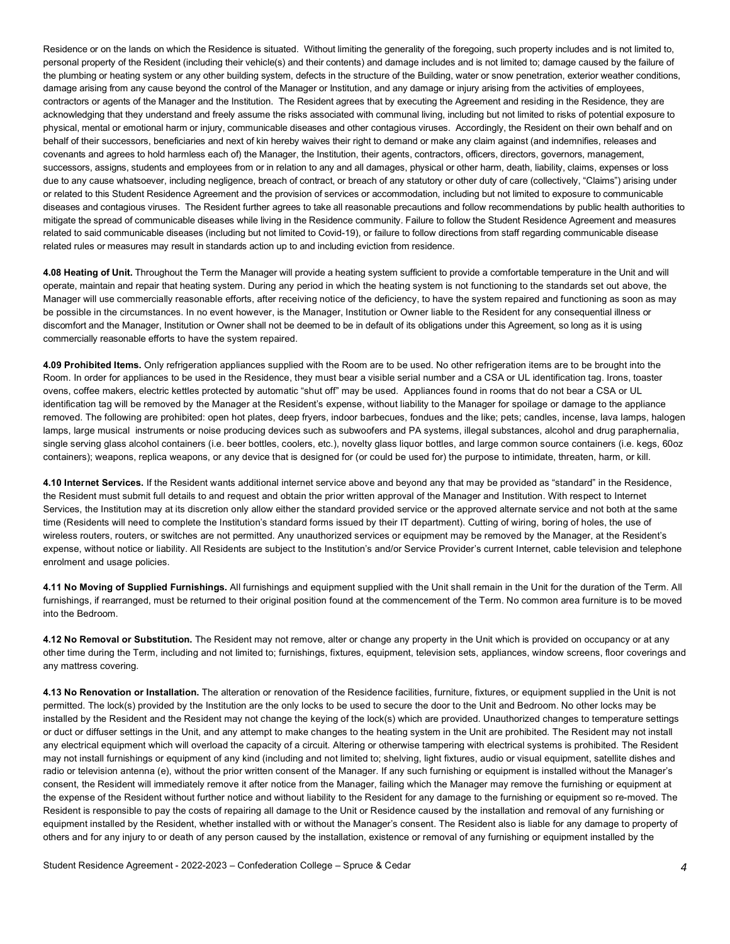Residence or on the lands on which the Residence is situated. Without limiting the generality of the foregoing, such property includes and is not limited to, personal property of the Resident (including their vehicle(s) and their contents) and damage includes and is not limited to; damage caused by the failure of the plumbing or heating system or any other building system, defects in the structure of the Building, water or snow penetration, exterior weather conditions, damage arising from any cause beyond the control of the Manager or Institution, and any damage or injury arising from the activities of employees, contractors or agents of the Manager and the Institution. The Resident agrees that by executing the Agreement and residing in the Residence, they are acknowledging that they understand and freely assume the risks associated with communal living, including but not limited to risks of potential exposure to physical, mental or emotional harm or injury, communicable diseases and other contagious viruses. Accordingly, the Resident on their own behalf and on behalf of their successors, beneficiaries and next of kin hereby waives their right to demand or make any claim against (and indemnifies, releases and covenants and agrees to hold harmless each of) the Manager, the Institution, their agents, contractors, officers, directors, governors, management, successors, assigns, students and employees from or in relation to any and all damages, physical or other harm, death, liability, claims, expenses or loss due to any cause whatsoever, including negligence, breach of contract, or breach of any statutory or other duty of care (collectively, "Claims") arising under or related to this Student Residence Agreement and the provision of services or accommodation, including but not limited to exposure to communicable diseases and contagious viruses. The Resident further agrees to take all reasonable precautions and follow recommendations by public health authorities to mitigate the spread of communicable diseases while living in the Residence community. Failure to follow the Student Residence Agreement and measures related to said communicable diseases (including but not limited to Covid-19), or failure to follow directions from staff regarding communicable disease related rules or measures may result in standards action up to and including eviction from residence.

 **4.08 Heating of Unit.** Throughout the Term the Manager will provide a heating system sufficient to provide a comfortable temperature in the Unit and will operate, maintain and repair that heating system. During any period in which the heating system is not functioning to the standards set out above, the Manager will use commercially reasonable efforts, after receiving notice of the deficiency, to have the system repaired and functioning as soon as may be possible in the circumstances. In no event however, is the Manager, Institution or Owner liable to the Resident for any consequential illness or discomfort and the Manager, Institution or Owner shall not be deemed to be in default of its obligations under this Agreement, so long as it is using commercially reasonable efforts to have the system repaired.

 **4.09 Prohibited Items.** Only refrigeration appliances supplied with the Room are to be used. No other refrigeration items are to be brought into the Room. In order for appliances to be used in the Residence, they must bear a visible serial number and a CSA or UL identification tag. Irons, toaster ovens, coffee makers, electric kettles protected by automatic "shut off" may be used. Appliances found in rooms that do not bear a CSA or UL identification tag will be removed by the Manager at the Resident's expense, without liability to the Manager for spoilage or damage to the appliance removed. The following are prohibited: open hot plates, deep fryers, indoor barbecues, fondues and the like; pets; candles, incense, lava lamps, halogen lamps, large musical instruments or noise producing devices such as subwoofers and PA systems, illegal substances, alcohol and drug paraphernalia, single serving glass alcohol containers (i.e. beer bottles, coolers, etc.), novelty glass liquor bottles, and large common source containers (i.e. kegs, 60oz containers); weapons, replica weapons, or any device that is designed for (or could be used for) the purpose to intimidate, threaten, harm, or kill.

 **4.10 Internet Services.** If the Resident wants additional internet service above and beyond any that may be provided as "standard" in the Residence, the Resident must submit full details to and request and obtain the prior written approval of the Manager and Institution. With respect to Internet Services, the Institution may at its discretion only allow either the standard provided service or the approved alternate service and not both at the same time (Residents will need to complete the Institution's standard forms issued by their IT department). Cutting of wiring, boring of holes, the use of wireless routers, routers, or switches are not permitted. Any unauthorized services or equipment may be removed by the Manager, at the Resident's expense, without notice or liability. All Residents are subject to the Institution's and/or Service Provider's current Internet, cable television and telephone enrolment and usage policies.

 **4.11 No Moving of Supplied Furnishings.** All furnishings and equipment supplied with the Unit shall remain in the Unit for the duration of the Term. All furnishings, if rearranged, must be returned to their original position found at the commencement of the Term. No common area furniture is to be moved into the Bedroom.

 **4.12 No Removal or Substitution.** The Resident may not remove, alter or change any property in the Unit which is provided on occupancy or at any other time during the Term, including and not limited to; furnishings, fixtures, equipment, television sets, appliances, window screens, floor coverings and any mattress covering.

 **4.13 No Renovation or Installation.** The alteration or renovation of the Residence facilities, furniture, fixtures, or equipment supplied in the Unit is not permitted. The lock(s) provided by the Institution are the only locks to be used to secure the door to the Unit and Bedroom. No other locks may be installed by the Resident and the Resident may not change the keying of the lock(s) which are provided. Unauthorized changes to temperature settings or duct or diffuser settings in the Unit, and any attempt to make changes to the heating system in the Unit are prohibited. The Resident may not install any electrical equipment which will overload the capacity of a circuit. Altering or otherwise tampering with electrical systems is prohibited. The Resident may not install furnishings or equipment of any kind (including and not limited to; shelving, light fixtures, audio or visual equipment, satellite dishes and radio or television antenna (e), without the prior written consent of the Manager. If any such furnishing or equipment is installed without the Manager's consent, the Resident will immediately remove it after notice from the Manager, failing which the Manager may remove the furnishing or equipment at the expense of the Resident without further notice and without liability to the Resident for any damage to the furnishing or equipment so re-moved. The Resident is responsible to pay the costs of repairing all damage to the Unit or Residence caused by the installation and removal of any furnishing or equipment installed by the Resident, whether installed with or without the Manager's consent. The Resident also is liable for any damage to property of others and for any injury to or death of any person caused by the installation, existence or removal of any furnishing or equipment installed by the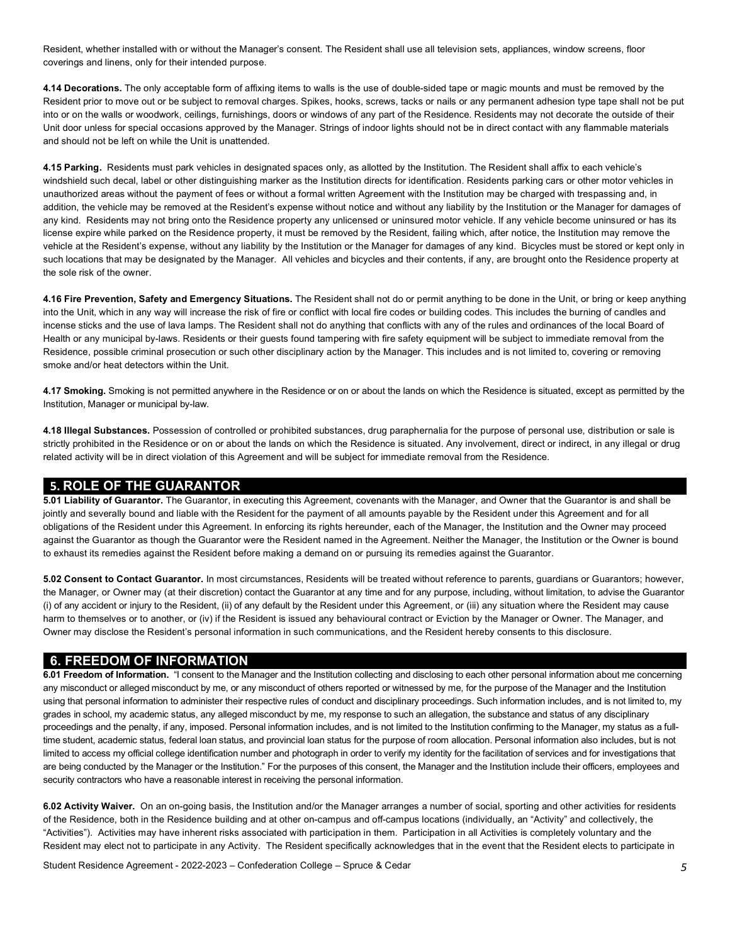Resident, whether installed with or without the Manager's consent. The Resident shall use all television sets, appliances, window screens, floor coverings and linens, only for their intended purpose.

 **4.14 Decorations.** The only acceptable form of affixing items to walls is the use of double-sided tape or magic mounts and must be removed by the Resident prior to move out or be subject to removal charges. Spikes, hooks, screws, tacks or nails or any permanent adhesion type tape shall not be put into or on the walls or woodwork, ceilings, furnishings, doors or windows of any part of the Residence. Residents may not decorate the outside of their Unit door unless for special occasions approved by the Manager. Strings of indoor lights should not be in direct contact with any flammable materials and should not be left on while the Unit is unattended.

 **4.15 Parking.** Residents must park vehicles in designated spaces only, as allotted by the Institution. The Resident shall affix to each vehicle's windshield such decal, label or other distinguishing marker as the Institution directs for identification. Residents parking cars or other motor vehicles in unauthorized areas without the payment of fees or without a formal written Agreement with the Institution may be charged with trespassing and, in addition, the vehicle may be removed at the Resident's expense without notice and without any liability by the Institution or the Manager for damages of any kind. Residents may not bring onto the Residence property any unlicensed or uninsured motor vehicle. If any vehicle become uninsured or has its license expire while parked on the Residence property, it must be removed by the Resident, failing which, after notice, the Institution may remove the vehicle at the Resident's expense, without any liability by the Institution or the Manager for damages of any kind. Bicycles must be stored or kept only in such locations that may be designated by the Manager. All vehicles and bicycles and their contents, if any, are brought onto the Residence property at the sole risk of the owner.

 **4.16 Fire Prevention, Safety and Emergency Situations.** The Resident shall not do or permit anything to be done in the Unit, or bring or keep anything into the Unit, which in any way will increase the risk of fire or conflict with local fire codes or building codes. This includes the burning of candles and incense sticks and the use of lava lamps. The Resident shall not do anything that conflicts with any of the rules and ordinances of the local Board of Health or any municipal by-laws. Residents or their guests found tampering with fire safety equipment will be subject to immediate removal from the Residence, possible criminal prosecution or such other disciplinary action by the Manager. This includes and is not limited to, covering or removing smoke and/or heat detectors within the Unit.

 **4.17 Smoking.** Smoking is not permitted anywhere in the Residence or on or about the lands on which the Residence is situated, except as permitted by the Institution, Manager or municipal by-law.

 **4.18 Illegal Substances.** Possession of controlled or prohibited substances, drug paraphernalia for the purpose of personal use, distribution or sale is strictly prohibited in the Residence or on or about the lands on which the Residence is situated. Any involvement, direct or indirect, in any illegal or drug related activity will be in direct violation of this Agreement and will be subject for immediate removal from the Residence.

# **5. ROLE OF THE GUARANTOR**

 **5.01 Liability of Guarantor.** The Guarantor, in executing this Agreement, covenants with the Manager, and Owner that the Guarantor is and shall be jointly and severally bound and liable with the Resident for the payment of all amounts payable by the Resident under this Agreement and for all obligations of the Resident under this Agreement. In enforcing its rights hereunder, each of the Manager, the Institution and the Owner may proceed against the Guarantor as though the Guarantor were the Resident named in the Agreement. Neither the Manager, the Institution or the Owner is bound to exhaust its remedies against the Resident before making a demand on or pursuing its remedies against the Guarantor.

 **5.02 Consent to Contact Guarantor.** In most circumstances, Residents will be treated without reference to parents, guardians or Guarantors; however, the Manager, or Owner may (at their discretion) contact the Guarantor at any time and for any purpose, including, without limitation, to advise the Guarantor (i) of any accident or injury to the Resident, (ii) of any default by the Resident under this Agreement, or (iii) any situation where the Resident may cause harm to themselves or to another, or (iv) if the Resident is issued any behavioural contract or Eviction by the Manager or Owner. The Manager, and Owner may disclose the Resident's personal information in such communications, and the Resident hereby consents to this disclosure.

#### **6. FREEDOM OF INFORMATION**

 any misconduct or alleged misconduct by me, or any misconduct of others reported or witnessed by me, for the purpose of the Manager and the Institution using that personal information to administer their respective rules of conduct and disciplinary proceedings. Such information includes, and is not limited to, my grades in school, my academic status, any alleged misconduct by me, my response to such an allegation, the substance and status of any disciplinary proceedings and the penalty, if any, imposed. Personal information includes, and is not limited to the Institution confirming to the Manager, my status as a fulltime student, academic status, federal loan status, and provincial loan status for the purpose of room allocation. Personal information also includes, but is not limited to access my official college identification number and photograph in order to verify my identity for the facilitation of services and for investigations that are being conducted by the Manager or the Institution." For the purposes of this consent, the Manager and the Institution include their officers, employees and security contractors who have a reasonable interest in receiving the personal information. **6.01 Freedom of Information.** "I consent to the Manager and the Institution collecting and disclosing to each other personal information about me concerning

 **6.02 Activity Waiver.** On an on-going basis, the Institution and/or the Manager arranges a number of social, sporting and other activities for residents of the Residence, both in the Residence building and at other on-campus and off-campus locations (individually, an "Activity" and collectively, the "Activities"). Activities may have inherent risks associated with participation in them. Participation in all Activities is completely voluntary and the Resident may elect not to participate in any Activity. The Resident specifically acknowledges that in the event that the Resident elects to participate in

Student Residence Agreement - 2022-2023 – Confederation College – Spruce & Cedar *5*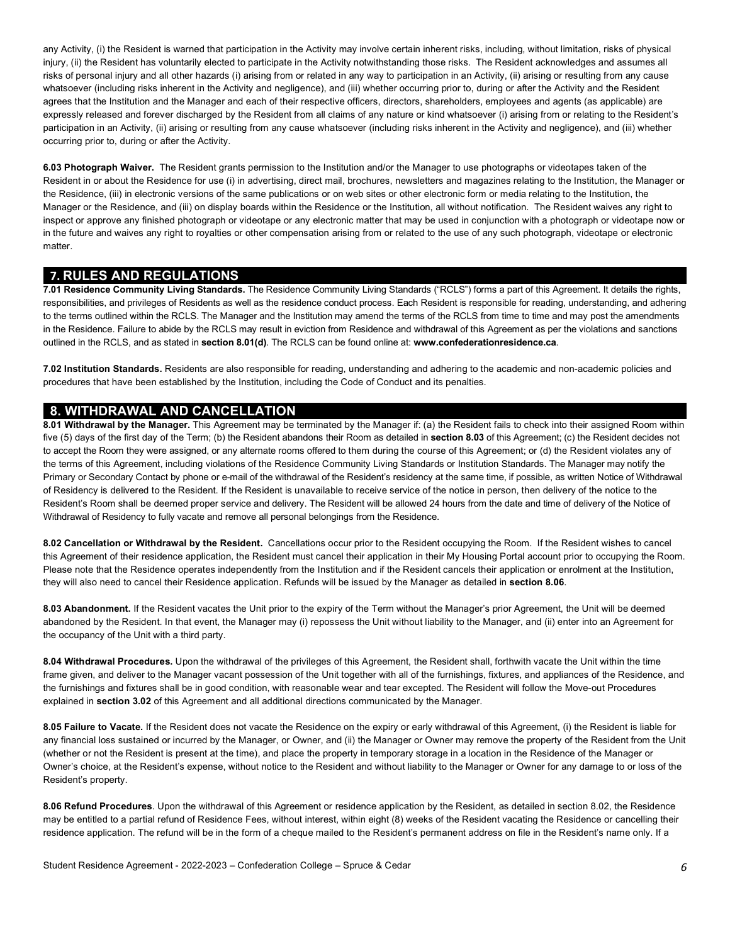any Activity, (i) the Resident is warned that participation in the Activity may involve certain inherent risks, including, without limitation, risks of physical injury, (ii) the Resident has voluntarily elected to participate in the Activity notwithstanding those risks. The Resident acknowledges and assumes all risks of personal injury and all other hazards (i) arising from or related in any way to participation in an Activity, (ii) arising or resulting from any cause whatsoever (including risks inherent in the Activity and negligence), and (iii) whether occurring prior to, during or after the Activity and the Resident agrees that the Institution and the Manager and each of their respective officers, directors, shareholders, employees and agents (as applicable) are expressly released and forever discharged by the Resident from all claims of any nature or kind whatsoever (i) arising from or relating to the Resident's participation in an Activity, (ii) arising or resulting from any cause whatsoever (including risks inherent in the Activity and negligence), and (iii) whether occurring prior to, during or after the Activity.

 **6.03 Photograph Waiver.** The Resident grants permission to the Institution and/or the Manager to use photographs or videotapes taken of the Resident in or about the Residence for use (i) in advertising, direct mail, brochures, newsletters and magazines relating to the Institution, the Manager or the Residence, (iii) in electronic versions of the same publications or on web sites or other electronic form or media relating to the Institution, the Manager or the Residence, and (iii) on display boards within the Residence or the Institution, all without notification. The Resident waives any right to inspect or approve any finished photograph or videotape or any electronic matter that may be used in conjunction with a photograph or videotape now or in the future and waives any right to royalties or other compensation arising from or related to the use of any such photograph, videotape or electronic matter.

# **7. RULES AND REGULATIONS**

 responsibilities, and privileges of Residents as well as the residence conduct process. Each Resident is responsible for reading, understanding, and adhering to the terms outlined within the RCLS. The Manager and the Institution may amend the terms of the RCLS from time to time and may post the amendments in the Residence. Failure to abide by the RCLS may result in eviction from Residence and withdrawal of this Agreement as per the violations and sanctions outlined in the RCLS, and as stated in **section 8.01(d)**. The RCLS can be found online at: **<www.confederationresidence.ca>**. **7.01 Residence Community Living Standards.** The Residence Community Living Standards ("RCLS") forms a part of this Agreement. It details the rights,

 **7.02 Institution Standards.** Residents are also responsible for reading, understanding and adhering to the academic and non-academic policies and procedures that have been established by the Institution, including the Code of Conduct and its penalties.

#### **8. WITHDRAWAL AND CANCELLATION**

 **8.01 Withdrawal by the Manager.** This Agreement may be terminated by the Manager if: (a) the Resident fails to check into their assigned Room within five (5) days of the first day of the Term; (b) the Resident abandons their Room as detailed in **section 8.03** of this Agreement; (c) the Resident decides not to accept the Room they were assigned, or any alternate rooms offered to them during the course of this Agreement; or (d) the Resident violates any of the terms of this Agreement, including violations of the Residence Community Living Standards or Institution Standards. The Manager may notify the Primary or Secondary Contact by phone or e-mail of the withdrawal of the Resident's residency at the same time, if possible, as written Notice of Withdrawal of Residency is delivered to the Resident. If the Resident is unavailable to receive service of the notice in person, then delivery of the notice to the Resident's Room shall be deemed proper service and delivery. The Resident will be allowed 24 hours from the date and time of delivery of the Notice of Withdrawal of Residency to fully vacate and remove all personal belongings from the Residence.

 **8.02 Cancellation or Withdrawal by the Resident.** Cancellations occur prior to the Resident occupying the Room. If the Resident wishes to cancel this Agreement of their residence application, the Resident must cancel their application in their My Housing Portal account prior to occupying the Room. Please note that the Residence operates independently from the Institution and if the Resident cancels their application or enrolment at the Institution, they will also need to cancel their Residence application. Refunds will be issued by the Manager as detailed in **section 8.06**.

 **8.03 Abandonment.** If the Resident vacates the Unit prior to the expiry of the Term without the Manager's prior Agreement, the Unit will be deemed abandoned by the Resident. In that event, the Manager may (i) repossess the Unit without liability to the Manager, and (ii) enter into an Agreement for the occupancy of the Unit with a third party.

 **8.04 Withdrawal Procedures.** Upon the withdrawal of the privileges of this Agreement, the Resident shall, forthwith vacate the Unit within the time frame given, and deliver to the Manager vacant possession of the Unit together with all of the furnishings, fixtures, and appliances of the Residence, and explained in **section 3.02** of this Agreement and all additional directions communicated by the Manager. the furnishings and fixtures shall be in good condition, with reasonable wear and tear excepted. The Resident will follow the Move-out Procedures

 **8.05 Failure to Vacate.** If the Resident does not vacate the Residence on the expiry or early withdrawal of this Agreement, (i) the Resident is liable for any financial loss sustained or incurred by the Manager, or Owner, and (ii) the Manager or Owner may remove the property of the Resident from the Unit (whether or not the Resident is present at the time), and place the property in temporary storage in a location in the Residence of the Manager or Owner's choice, at the Resident's expense, without notice to the Resident and without liability to the Manager or Owner for any damage to or loss of the Resident's property.

 **8.06 Refund Procedures**. Upon the withdrawal of this Agreement or residence application by the Resident, as detailed in section 8.02, the Residence may be entitled to a partial refund of Residence Fees, without interest, within eight (8) weeks of the Resident vacating the Residence or cancelling their residence application. The refund will be in the form of a cheque mailed to the Resident's permanent address on file in the Resident's name only. If a